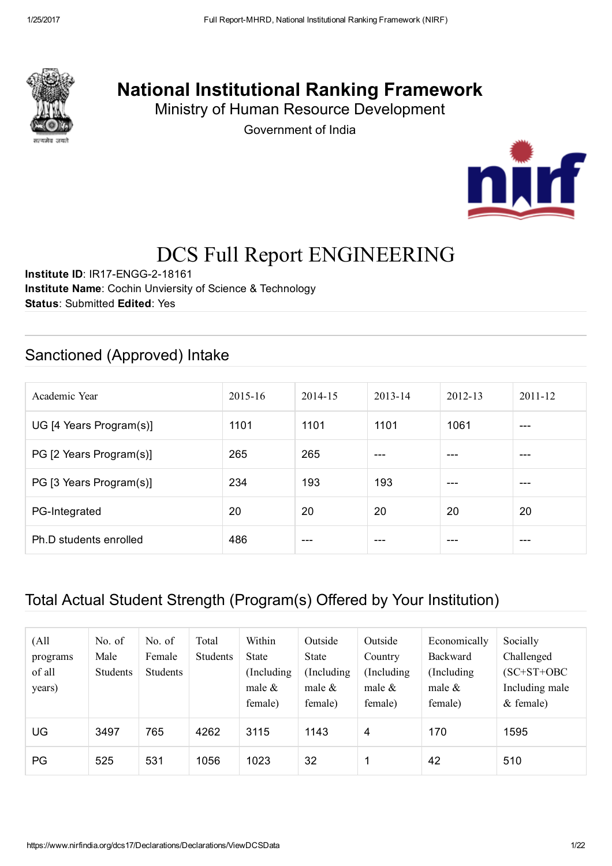

## National Institutional Ranking Framework

Ministry of Human Resource Development

Government of India



# DCS Full Report ENGINEERING

Institute ID: IR17-ENGG-2-18161 Institute Name: Cochin Unviersity of Science & Technology Status: Submitted Edited: Yes

#### Sanctioned (Approved) Intake

| Academic Year           | $2015 - 16$ | 2014-15 | $2013 - 14$ | $2012 - 13$ | $2011 - 12$ |
|-------------------------|-------------|---------|-------------|-------------|-------------|
| UG [4 Years Program(s)] | 1101        | 1101    | 1101        | 1061        | $---$       |
| PG [2 Years Program(s)] | 265         | 265     | ---         |             | ---         |
| PG [3 Years Program(s)] | 234         | 193     | 193         | ---         | ---         |
| PG-Integrated           | 20          | 20      | 20          | 20          | 20          |
| Ph.D students enrolled  | 486         | ---     | ---         |             | ---         |

#### Total Actual Student Strength (Program(s) Offered by Your Institution)

| (A <sup>1</sup> ]<br>programs<br>of all<br>years) | No. of<br>Male<br>Students | No. of<br>Female<br>Students | Total<br><b>Students</b> | Within<br><b>State</b><br>(Including)<br>male $\&$<br>female) | Outside<br>State<br>(Including)<br>male $\&$<br>female) | Outside<br>Country<br>(Including)<br>male $\&$<br>female) | Economically<br>Backward<br>(Including)<br>male $\&$<br>female) | Socially<br>Challenged<br>$(SC+ST+OBC$<br>Including male<br>$&$ female) |
|---------------------------------------------------|----------------------------|------------------------------|--------------------------|---------------------------------------------------------------|---------------------------------------------------------|-----------------------------------------------------------|-----------------------------------------------------------------|-------------------------------------------------------------------------|
| UG                                                | 3497                       | 765                          | 4262                     | 3115                                                          | 1143                                                    | 4                                                         | 170                                                             | 1595                                                                    |
| PG                                                | 525                        | 531                          | 1056                     | 1023                                                          | 32                                                      |                                                           | 42                                                              | 510                                                                     |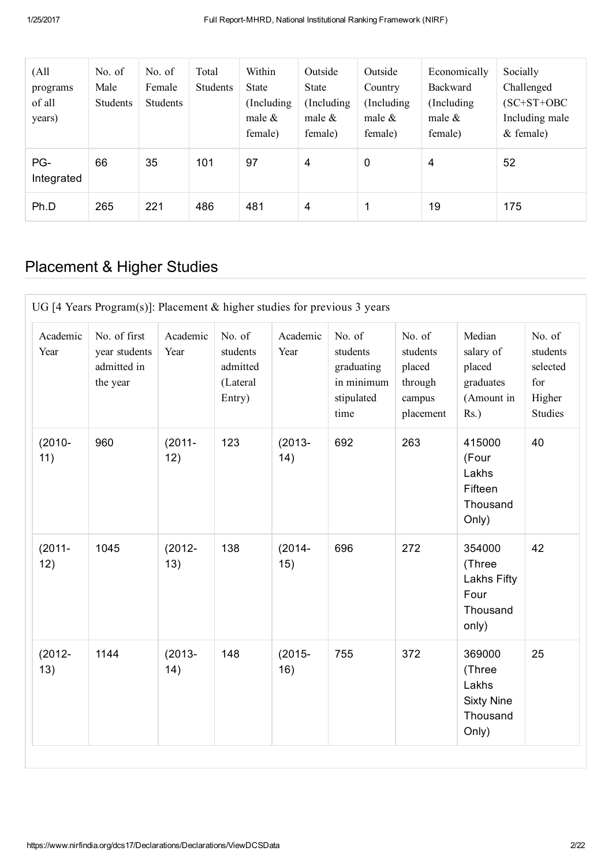| (A <sup>11</sup> )<br>programs<br>of all<br>years) | No. $of$<br>Male<br>Students | No. of<br>Female<br>Students | Total<br><b>Students</b> | Within<br>State<br>(Including)<br>male $\&$<br>female) | Outside<br>State<br>Including<br>male $\&$<br>female) | Outside<br>Country<br>(Including)<br>male $\&$<br>female) | Economically<br><b>Backward</b><br>(Including)<br>male $\&$<br>female) | Socially<br>Challenged<br>$(SC+ST+OBC$<br>Including male<br>$&$ female) |
|----------------------------------------------------|------------------------------|------------------------------|--------------------------|--------------------------------------------------------|-------------------------------------------------------|-----------------------------------------------------------|------------------------------------------------------------------------|-------------------------------------------------------------------------|
| PG-<br>Integrated                                  | 66                           | 35                           | 101                      | 97                                                     | 4                                                     | 0                                                         | 4                                                                      | 52                                                                      |
| Ph.D                                               | 265                          | 221                          | 486                      | 481                                                    | 4                                                     |                                                           | 19                                                                     | 175                                                                     |

## Placement & Higher Studies

| UG [4 Years Program(s)]: Placement $&$ higher studies for previous 3 years |                                                          |                  |                                                      |                  |                                                                      |                                                                |                                                                     |                                                                   |  |  |
|----------------------------------------------------------------------------|----------------------------------------------------------|------------------|------------------------------------------------------|------------------|----------------------------------------------------------------------|----------------------------------------------------------------|---------------------------------------------------------------------|-------------------------------------------------------------------|--|--|
| Academic<br>Year                                                           | No. of first<br>year students<br>admitted in<br>the year | Academic<br>Year | No. of<br>students<br>admitted<br>(Lateral<br>Entry) | Academic<br>Year | No. of<br>students<br>graduating<br>in minimum<br>stipulated<br>time | No. of<br>students<br>placed<br>through<br>campus<br>placement | Median<br>salary of<br>placed<br>graduates<br>(Amount in<br>$Rs.$ ) | No. of<br>students<br>selected<br>for<br>Higher<br><b>Studies</b> |  |  |
| $(2010 -$<br>11)                                                           | 960                                                      | $(2011 -$<br>12) | 123                                                  | $(2013 -$<br>14) | 692                                                                  | 263                                                            | 415000<br>(Four<br>Lakhs<br>Fifteen<br>Thousand<br>Only)            | 40                                                                |  |  |
| $(2011 -$<br>12)                                                           | 1045                                                     | $(2012 -$<br>13) | 138                                                  | $(2014 -$<br>15) | 696                                                                  | 272                                                            | 354000<br>(Three<br>Lakhs Fifty<br>Four<br>Thousand<br>only)        | 42                                                                |  |  |
| $(2012 -$<br>13)                                                           | 1144                                                     | $(2013 -$<br>14) | 148                                                  | $(2015 -$<br>16) | 755                                                                  | 372                                                            | 369000<br>(Three<br>Lakhs<br><b>Sixty Nine</b><br>Thousand<br>Only) | 25                                                                |  |  |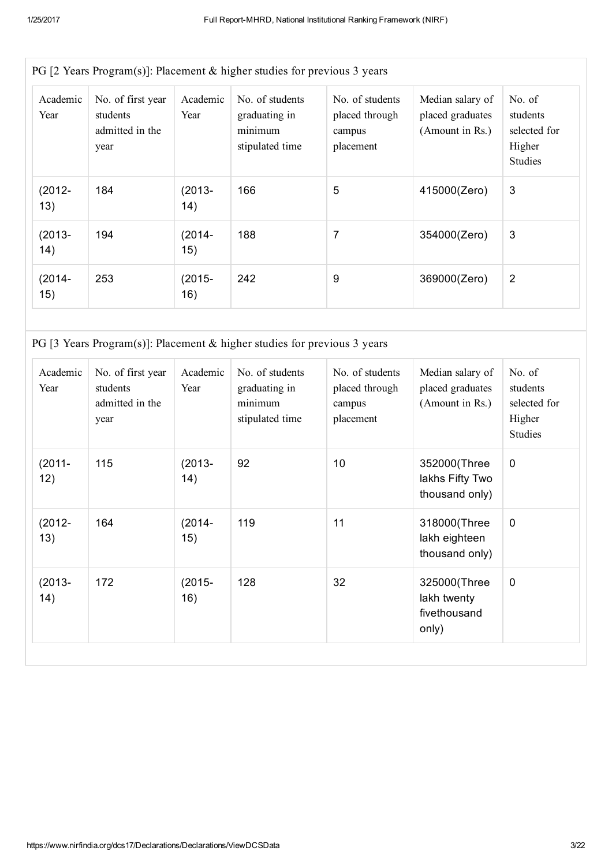| Academic<br>Year | No. of first year<br>students<br>admitted in the<br>year | Academic<br>Year | No. of students<br>graduating in<br>minimum<br>stipulated time | No. of students<br>placed through<br>campus<br>placement | Median salary of<br>placed graduates<br>(Amount in Rs.) | No. $of$<br>students<br>selected for<br>Higher<br><b>Studies</b> |
|------------------|----------------------------------------------------------|------------------|----------------------------------------------------------------|----------------------------------------------------------|---------------------------------------------------------|------------------------------------------------------------------|
| $(2012 -$<br>13) | 184                                                      | (2013-<br>14)    | 166                                                            | 5                                                        | 415000(Zero)                                            | 3                                                                |
| $(2013 -$<br>14) | 194                                                      | (2014-<br>15)    | 188                                                            | $\overline{7}$                                           | 354000(Zero)                                            | 3                                                                |
| $(2014 -$<br>15) | 253                                                      | (2015-<br>16)    | 242                                                            | 9                                                        | 369000(Zero)                                            | $\overline{2}$                                                   |

PG [3 Years Program(s)]: Placement & higher studies for previous 3 years

| Academic<br>Year  | No. of first year<br>students<br>admitted in the<br>year | Academic<br>Year | No. of students<br>graduating in<br>minimum<br>stipulated time | No. of students<br>placed through<br>campus<br>placement | Median salary of<br>placed graduates<br>(Amount in Rs.) | No. of<br>students<br>selected for<br>Higher<br><b>Studies</b> |
|-------------------|----------------------------------------------------------|------------------|----------------------------------------------------------------|----------------------------------------------------------|---------------------------------------------------------|----------------------------------------------------------------|
| $(2011 -$<br>12)  | 115                                                      | $(2013 -$<br>14) | 92                                                             | 10                                                       | 352000(Three<br>lakhs Fifty Two<br>thousand only)       | 0                                                              |
| $(2012 -$<br>13)  | 164                                                      | $(2014 -$<br>15) | 119                                                            | 11                                                       | 318000(Three<br>lakh eighteen<br>thousand only)         | $\mathbf 0$                                                    |
| $(2013 -$<br>(14) | 172                                                      | $(2015 -$<br>16) | 128                                                            | 32                                                       | 325000(Three<br>lakh twenty<br>fivethousand<br>only)    | 0                                                              |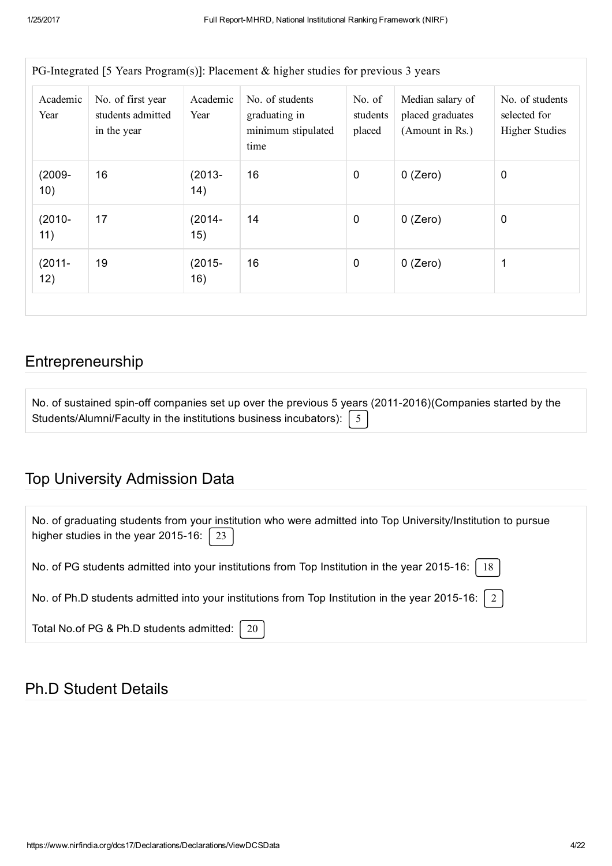| Academic<br>Year | No. of first year<br>students admitted<br>in the year | Academic<br>Year | No. of students<br>graduating in<br>minimum stipulated<br>time | No. of<br>students<br>placed | Median salary of<br>placed graduates<br>(Amount in Rs.) | No. of students<br>selected for<br><b>Higher Studies</b> |
|------------------|-------------------------------------------------------|------------------|----------------------------------------------------------------|------------------------------|---------------------------------------------------------|----------------------------------------------------------|
| $(2009 -$<br>10) | 16                                                    | $(2013 -$<br>14) | 16                                                             | $\mathbf 0$                  | $0$ (Zero)                                              | $\mathbf 0$                                              |
| $(2010 -$<br>11) | 17                                                    | $(2014 -$<br>15) | 14                                                             | $\mathbf 0$                  | $0$ (Zero)                                              | $\boldsymbol{0}$                                         |
| $(2011 -$<br>12) | 19                                                    | $(2015 -$<br>16) | 16                                                             | $\boldsymbol{0}$             | $0$ (Zero)                                              | 1                                                        |

#### Entrepreneurship

| No. of sustained spin-off companies set up over the previous 5 years (2011-2016)(Companies started by the |  |
|-----------------------------------------------------------------------------------------------------------|--|
| Students/Alumni/Faculty in the institutions business incubators): $\begin{bmatrix} 5 \end{bmatrix}$       |  |

## Top University Admission Data

| No. of graduating students from your institution who were admitted into Top University/Institution to pursue<br>higher studies in the year 2015-16: $\vert$<br>23 |
|-------------------------------------------------------------------------------------------------------------------------------------------------------------------|
| No. of PG students admitted into your institutions from Top Institution in the year 2015-16:   18                                                                 |
| No. of Ph.D students admitted into your institutions from Top Institution in the year 2015-16: $\mid 2 \mid$                                                      |
| Total No.of PG & Ph.D students admitted:   20                                                                                                                     |

## Ph.D Student Details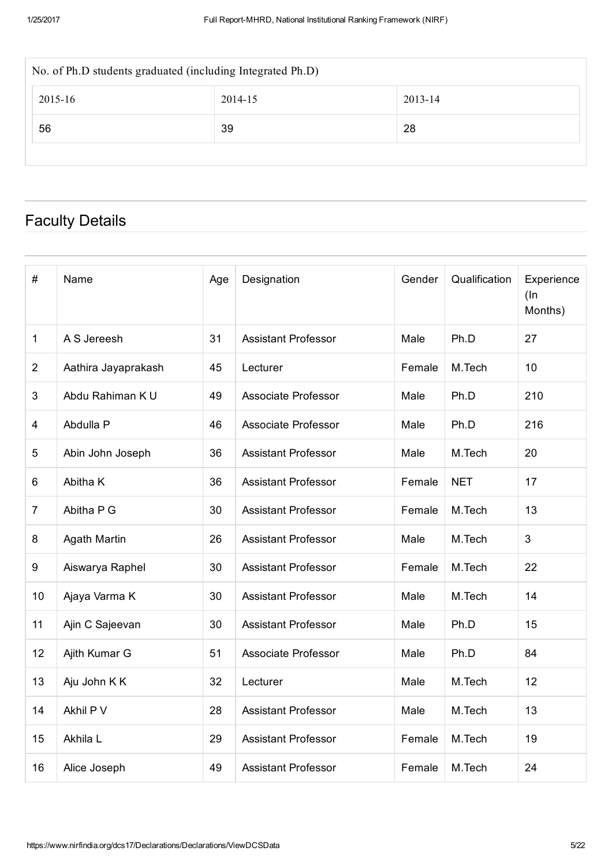| No. of Ph.D students graduated (including Integrated Ph.D) |    |  |  |  |  |  |  |  |  |
|------------------------------------------------------------|----|--|--|--|--|--|--|--|--|
| 2013-14<br>2015-16<br>2014-15                              |    |  |  |  |  |  |  |  |  |
| 56                                                         | 28 |  |  |  |  |  |  |  |  |
|                                                            |    |  |  |  |  |  |  |  |  |

## Faculty Details

| $\#$           | Name                | Age | Designation                | Gender | Qualification | Experience<br>$($ In<br>Months) |
|----------------|---------------------|-----|----------------------------|--------|---------------|---------------------------------|
| 1              | A S Jereesh         | 31  | <b>Assistant Professor</b> | Male   | Ph.D          | 27                              |
| $\overline{2}$ | Aathira Jayaprakash | 45  | Lecturer                   | Female | M.Tech        | 10                              |
| 3              | Abdu Rahiman K U    | 49  | Associate Professor        | Male   | Ph.D          | 210                             |
| 4              | Abdulla P           | 46  | Associate Professor        | Male   | Ph.D          | 216                             |
| 5              | Abin John Joseph    | 36  | <b>Assistant Professor</b> | Male   | M.Tech        | 20                              |
| 6              | Abitha K            | 36  | <b>Assistant Professor</b> | Female | <b>NET</b>    | 17                              |
| $\overline{7}$ | Abitha P G          | 30  | <b>Assistant Professor</b> | Female | M.Tech        | 13                              |
| 8              | <b>Agath Martin</b> | 26  | <b>Assistant Professor</b> | Male   | M.Tech        | 3                               |
| 9              | Aiswarya Raphel     | 30  | <b>Assistant Professor</b> | Female | M.Tech        | 22                              |
| 10             | Ajaya Varma K       | 30  | <b>Assistant Professor</b> | Male   | M.Tech        | 14                              |
| 11             | Ajin C Sajeevan     | 30  | <b>Assistant Professor</b> | Male   | Ph.D          | 15                              |
| 12             | Ajith Kumar G       | 51  | <b>Associate Professor</b> | Male   | Ph.D          | 84                              |
| 13             | Aju John K K        | 32  | Lecturer                   | Male   | M.Tech        | 12                              |
| 14             | Akhil P V           | 28  | <b>Assistant Professor</b> | Male   | M.Tech        | 13                              |
| 15             | Akhila L            | 29  | <b>Assistant Professor</b> | Female | M.Tech        | 19                              |
| 16             | Alice Joseph        | 49  | <b>Assistant Professor</b> | Female | M.Tech        | 24                              |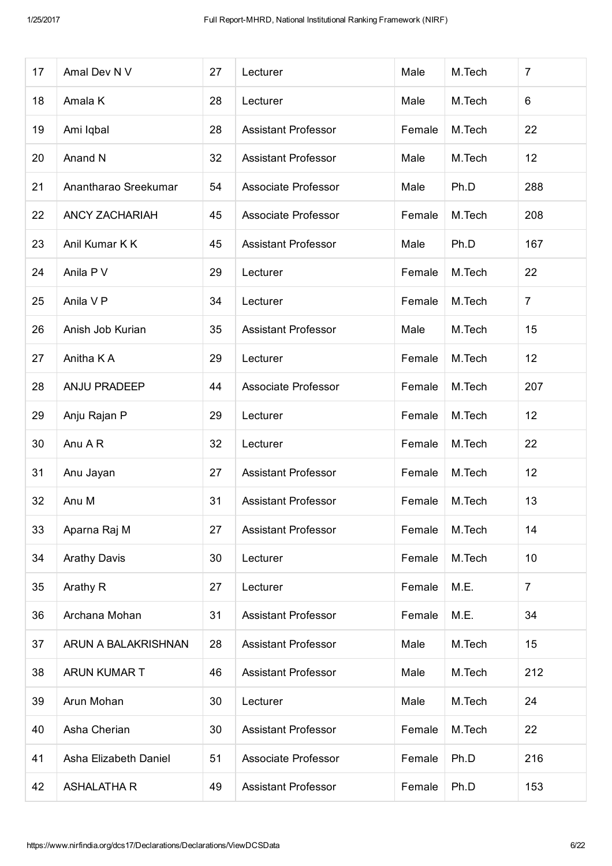| 17 | Amal Dev N V          | 27 | Lecturer                   | Male   | M.Tech | $\overline{7}$ |
|----|-----------------------|----|----------------------------|--------|--------|----------------|
| 18 | Amala K               | 28 | Lecturer                   | Male   | M.Tech | 6              |
| 19 | Ami Iqbal             | 28 | <b>Assistant Professor</b> | Female | M.Tech | 22             |
| 20 | Anand N               | 32 | <b>Assistant Professor</b> | Male   | M.Tech | 12             |
| 21 | Anantharao Sreekumar  | 54 | Associate Professor        | Male   | Ph.D   | 288            |
| 22 | <b>ANCY ZACHARIAH</b> | 45 | Associate Professor        | Female | M.Tech | 208            |
| 23 | Anil Kumar K K        | 45 | <b>Assistant Professor</b> | Male   | Ph.D   | 167            |
| 24 | Anila P V             | 29 | Lecturer                   | Female | M.Tech | 22             |
| 25 | Anila V P             | 34 | Lecturer                   | Female | M.Tech | $\overline{7}$ |
| 26 | Anish Job Kurian      | 35 | <b>Assistant Professor</b> | Male   | M.Tech | 15             |
| 27 | Anitha K A            | 29 | Lecturer                   | Female | M.Tech | 12             |
| 28 | <b>ANJU PRADEEP</b>   | 44 | Associate Professor        | Female | M.Tech | 207            |
| 29 | Anju Rajan P          | 29 | Lecturer                   | Female | M.Tech | 12             |
| 30 | Anu A R               | 32 | Lecturer                   | Female | M.Tech | 22             |
| 31 | Anu Jayan             | 27 | <b>Assistant Professor</b> | Female | M.Tech | 12             |
| 32 | Anu M                 | 31 | <b>Assistant Professor</b> | Female | M.Tech | 13             |
| 33 | Aparna Raj M          | 27 | <b>Assistant Professor</b> | Female | M.Tech | 14             |
| 34 | <b>Arathy Davis</b>   | 30 | Lecturer                   | Female | M.Tech | 10             |
| 35 | Arathy R              | 27 | Lecturer                   | Female | M.E.   | $\overline{7}$ |
| 36 | Archana Mohan         | 31 | <b>Assistant Professor</b> | Female | M.E.   | 34             |
| 37 | ARUN A BALAKRISHNAN   | 28 | <b>Assistant Professor</b> | Male   | M.Tech | 15             |
| 38 | ARUN KUMAR T          | 46 | <b>Assistant Professor</b> | Male   | M.Tech | 212            |
| 39 | Arun Mohan            | 30 | Lecturer                   | Male   | M.Tech | 24             |
| 40 | Asha Cherian          | 30 | <b>Assistant Professor</b> | Female | M.Tech | 22             |
| 41 | Asha Elizabeth Daniel | 51 | Associate Professor        | Female | Ph.D   | 216            |
| 42 | <b>ASHALATHA R</b>    | 49 | <b>Assistant Professor</b> | Female | Ph.D   | 153            |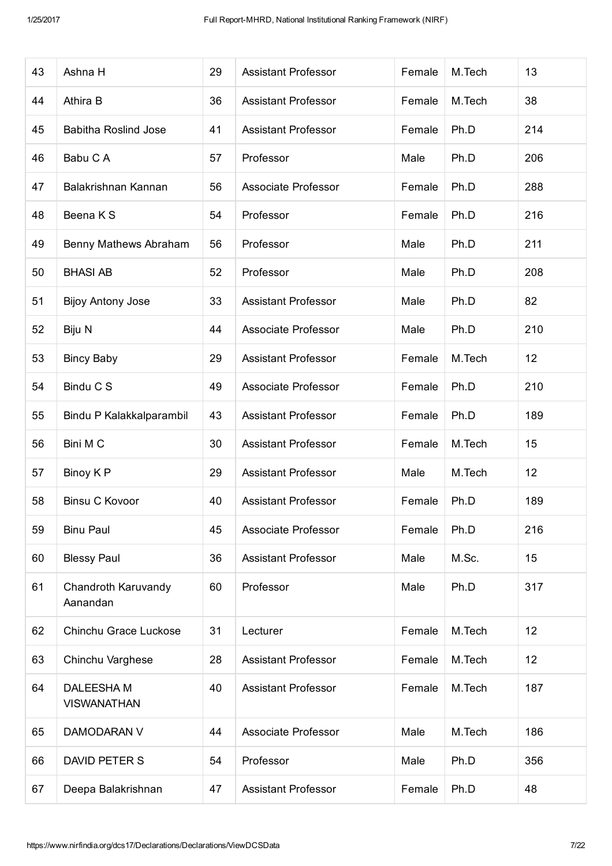| 43 | Ashna H                          | 29 | <b>Assistant Professor</b> | Female | M.Tech | 13  |
|----|----------------------------------|----|----------------------------|--------|--------|-----|
| 44 | Athira B                         | 36 | <b>Assistant Professor</b> | Female | M.Tech | 38  |
| 45 | <b>Babitha Roslind Jose</b>      | 41 | <b>Assistant Professor</b> | Female | Ph.D   | 214 |
| 46 | Babu C A                         | 57 | Professor                  | Male   | Ph.D   | 206 |
| 47 | Balakrishnan Kannan              | 56 | Associate Professor        | Female | Ph.D   | 288 |
| 48 | Beena K S                        | 54 | Professor                  | Female | Ph.D   | 216 |
| 49 | Benny Mathews Abraham            | 56 | Professor                  | Male   | Ph.D   | 211 |
| 50 | <b>BHASI AB</b>                  | 52 | Professor                  | Male   | Ph.D   | 208 |
| 51 | <b>Bijoy Antony Jose</b>         | 33 | <b>Assistant Professor</b> | Male   | Ph.D   | 82  |
| 52 | Biju N                           | 44 | <b>Associate Professor</b> | Male   | Ph.D   | 210 |
| 53 | <b>Bincy Baby</b>                | 29 | <b>Assistant Professor</b> | Female | M.Tech | 12  |
| 54 | Bindu C S                        | 49 | <b>Associate Professor</b> | Female | Ph.D   | 210 |
| 55 | Bindu P Kalakkalparambil         | 43 | <b>Assistant Professor</b> | Female | Ph.D   | 189 |
| 56 | Bini M C                         | 30 | <b>Assistant Professor</b> | Female | M.Tech | 15  |
| 57 | Binoy K P                        | 29 | <b>Assistant Professor</b> | Male   | M.Tech | 12  |
| 58 | <b>Binsu C Kovoor</b>            | 40 | <b>Assistant Professor</b> | Female | Ph.D   | 189 |
| 59 | <b>Binu Paul</b>                 | 45 | Associate Professor        | Female | Ph.D   | 216 |
| 60 | <b>Blessy Paul</b>               | 36 | <b>Assistant Professor</b> | Male   | M.Sc.  | 15  |
| 61 | Chandroth Karuvandy<br>Aanandan  | 60 | Professor                  | Male   | Ph.D   | 317 |
| 62 | Chinchu Grace Luckose            | 31 | Lecturer                   | Female | M.Tech | 12  |
| 63 | Chinchu Varghese                 | 28 | <b>Assistant Professor</b> | Female | M.Tech | 12  |
| 64 | DALEESHA M<br><b>VISWANATHAN</b> | 40 | <b>Assistant Professor</b> | Female | M.Tech | 187 |
| 65 | DAMODARAN V                      | 44 | Associate Professor        | Male   | M.Tech | 186 |
| 66 | DAVID PETER S                    | 54 | Professor                  | Male   | Ph.D   | 356 |
| 67 | Deepa Balakrishnan               | 47 | <b>Assistant Professor</b> | Female | Ph.D   | 48  |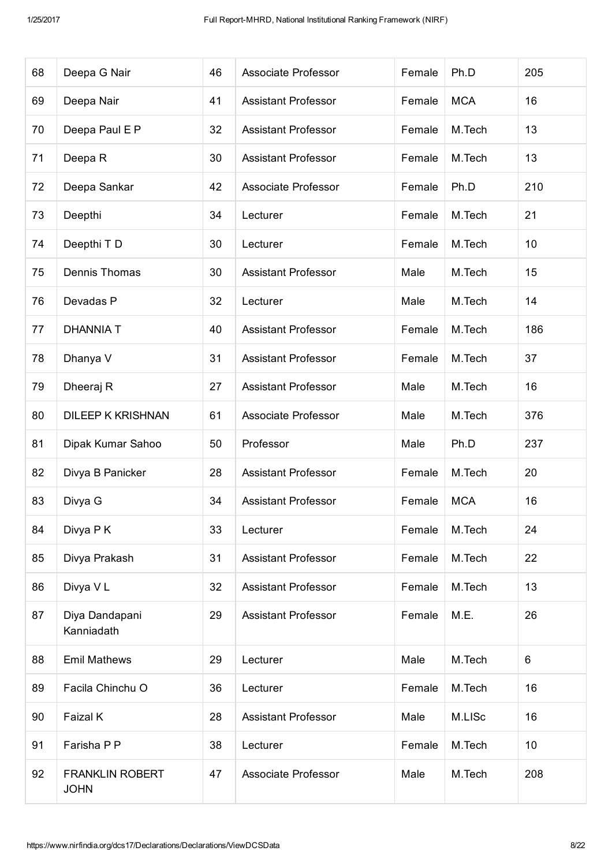|                                       |              |                            |                     |            | 205  |
|---------------------------------------|--------------|----------------------------|---------------------|------------|------|
|                                       |              |                            |                     |            |      |
| Deepa Nair                            | 41           | <b>Assistant Professor</b> | Female              | <b>MCA</b> | 16   |
| Deepa Paul E P                        | 32           | <b>Assistant Professor</b> | Female              | M.Tech     | 13   |
| Deepa R                               | 30           | <b>Assistant Professor</b> | Female              | M.Tech     | 13   |
| Deepa Sankar                          | 42           | Associate Professor        | Female              | Ph.D       | 210  |
| Deepthi                               | 34           | Lecturer                   | Female              | M.Tech     | 21   |
| Deepthi T D                           | 30           | Lecturer                   | Female              | M.Tech     | 10   |
| Dennis Thomas                         | 30           | <b>Assistant Professor</b> | Male                | M.Tech     | 15   |
| Devadas P                             | 32           | Lecturer                   | Male                | M.Tech     | 14   |
| <b>DHANNIA T</b>                      | 40           | <b>Assistant Professor</b> | Female              | M.Tech     | 186  |
| Dhanya V                              | 31           | <b>Assistant Professor</b> | Female              | M.Tech     | 37   |
| Dheeraj R                             | 27           | <b>Assistant Professor</b> | Male                | M.Tech     | 16   |
| <b>DILEEP K KRISHNAN</b>              | 61           | Associate Professor        | Male                | M.Tech     | 376  |
| Dipak Kumar Sahoo                     | 50           | Professor                  | Male                | Ph.D       | 237  |
| Divya B Panicker                      | 28           | <b>Assistant Professor</b> | Female              | M.Tech     | 20   |
| Divya G                               | 34           | <b>Assistant Professor</b> | Female              | <b>MCA</b> | 16   |
| Divya P K                             | 33           | Lecturer                   | Female              | M.Tech     | 24   |
| Divya Prakash                         | 31           | <b>Assistant Professor</b> | Female              | M.Tech     | 22   |
| Divya VL                              | 32           | <b>Assistant Professor</b> | Female              | M.Tech     | 13   |
| Diya Dandapani<br>Kanniadath          | 29           | <b>Assistant Professor</b> | Female              | M.E.       | 26   |
| <b>Emil Mathews</b>                   | 29           | Lecturer                   | Male                | M.Tech     | 6    |
| Facila Chinchu O                      | 36           | Lecturer                   | Female              | M.Tech     | 16   |
| Faizal K                              | 28           | <b>Assistant Professor</b> | Male                | M.LISc     | 16   |
| Farisha P P                           | 38           | Lecturer                   | Female              | M.Tech     | 10   |
| <b>FRANKLIN ROBERT</b><br><b>JOHN</b> | 47           | Associate Professor        | Male                | M.Tech     | 208  |
|                                       | Deepa G Nair | 46                         | Associate Professor | Female     | Ph.D |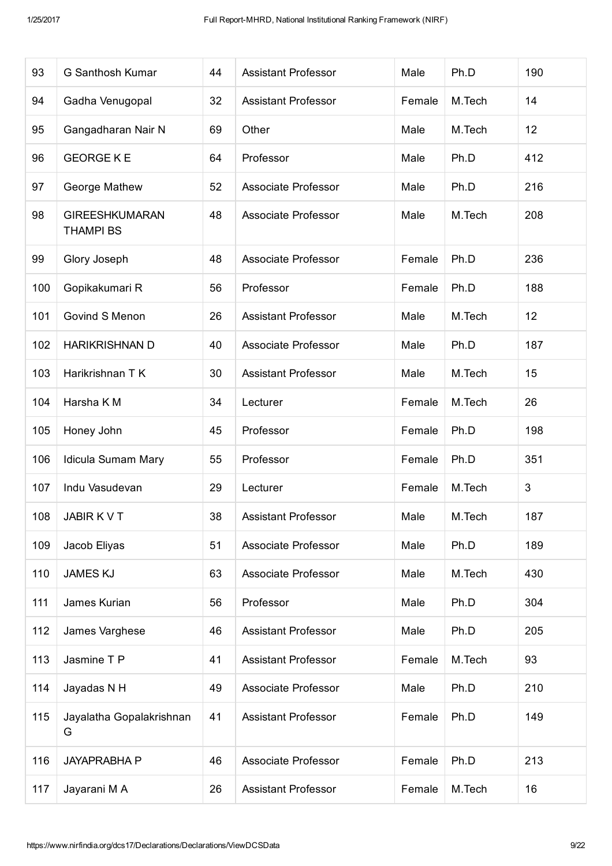| 93  | G Santhosh Kumar                          | 44 | <b>Assistant Professor</b> | Male   | Ph.D   | 190            |
|-----|-------------------------------------------|----|----------------------------|--------|--------|----------------|
| 94  | Gadha Venugopal                           | 32 | <b>Assistant Professor</b> | Female | M.Tech | 14             |
| 95  | Gangadharan Nair N                        | 69 | Other                      | Male   | M.Tech | 12             |
| 96  | <b>GEORGE K E</b>                         | 64 | Professor                  | Male   | Ph.D   | 412            |
| 97  | George Mathew                             | 52 | <b>Associate Professor</b> | Male   | Ph.D   | 216            |
| 98  | <b>GIREESHKUMARAN</b><br><b>THAMPI BS</b> | 48 | Associate Professor        | Male   | M.Tech | 208            |
| 99  | Glory Joseph                              | 48 | <b>Associate Professor</b> | Female | Ph.D   | 236            |
| 100 | Gopikakumari R                            | 56 | Professor                  | Female | Ph.D   | 188            |
| 101 | Govind S Menon                            | 26 | <b>Assistant Professor</b> | Male   | M.Tech | 12             |
| 102 | <b>HARIKRISHNAN D</b>                     | 40 | Associate Professor        | Male   | Ph.D   | 187            |
| 103 | Harikrishnan T K                          | 30 | <b>Assistant Professor</b> | Male   | M.Tech | 15             |
| 104 | Harsha K M                                | 34 | Lecturer                   | Female | M.Tech | 26             |
| 105 | Honey John                                | 45 | Professor                  | Female | Ph.D   | 198            |
| 106 | Idicula Sumam Mary                        | 55 | Professor                  | Female | Ph.D   | 351            |
| 107 | Indu Vasudevan                            | 29 | Lecturer                   | Female | M.Tech | $\mathfrak{B}$ |
| 108 | JABIR K V T                               | 38 | <b>Assistant Professor</b> | Male   | M.Tech | 187            |
| 109 | Jacob Eliyas                              | 51 | Associate Professor        | Male   | Ph.D   | 189            |
| 110 | <b>JAMES KJ</b>                           | 63 | Associate Professor        | Male   | M.Tech | 430            |
| 111 | James Kurian                              | 56 | Professor                  | Male   | Ph.D   | 304            |
| 112 | James Varghese                            | 46 | <b>Assistant Professor</b> | Male   | Ph.D   | 205            |
| 113 | Jasmine T P                               | 41 | <b>Assistant Professor</b> | Female | M.Tech | 93             |
| 114 | Jayadas N H                               | 49 | Associate Professor        | Male   | Ph.D   | 210            |
| 115 | Jayalatha Gopalakrishnan<br>G             | 41 | <b>Assistant Professor</b> | Female | Ph.D   | 149            |
| 116 | <b>JAYAPRABHA P</b>                       | 46 | Associate Professor        | Female | Ph.D   | 213            |
| 117 | Jayarani M A                              | 26 | <b>Assistant Professor</b> | Female | M.Tech | 16             |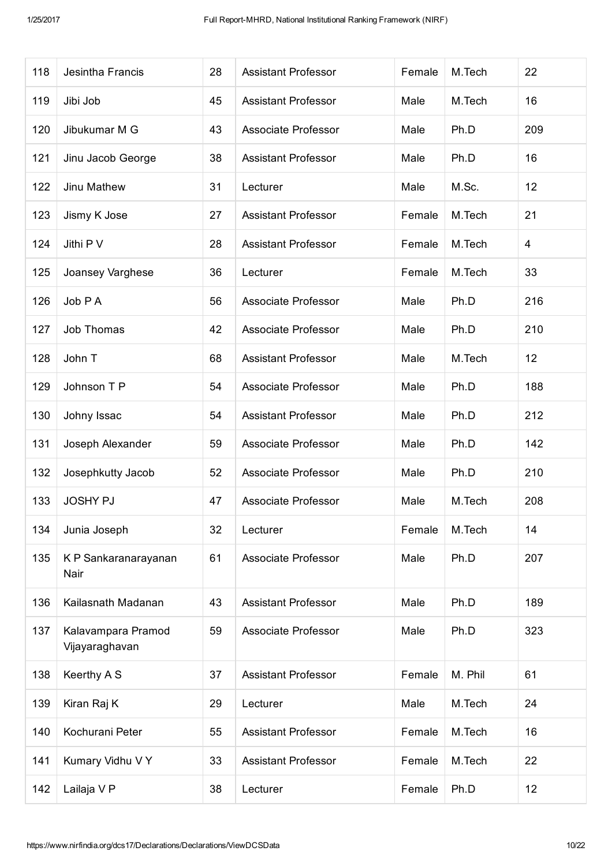| 118 | Jesintha Francis                     | 28 | <b>Assistant Professor</b> | Female | M.Tech  | 22             |
|-----|--------------------------------------|----|----------------------------|--------|---------|----------------|
| 119 | Jibi Job                             | 45 | <b>Assistant Professor</b> | Male   | M.Tech  | 16             |
| 120 | Jibukumar M G                        | 43 | Associate Professor        | Male   | Ph.D    | 209            |
| 121 | Jinu Jacob George                    | 38 | <b>Assistant Professor</b> | Male   | Ph.D    | 16             |
| 122 | Jinu Mathew                          | 31 | Lecturer                   | Male   | M.Sc.   | 12             |
| 123 | Jismy K Jose                         | 27 | <b>Assistant Professor</b> | Female | M.Tech  | 21             |
| 124 | Jithi P V                            | 28 | <b>Assistant Professor</b> | Female | M.Tech  | $\overline{4}$ |
| 125 | Joansey Varghese                     | 36 | Lecturer                   | Female | M.Tech  | 33             |
| 126 | Job P A                              | 56 | Associate Professor        | Male   | Ph.D    | 216            |
| 127 | Job Thomas                           | 42 | <b>Associate Professor</b> | Male   | Ph.D    | 210            |
| 128 | John T                               | 68 | <b>Assistant Professor</b> | Male   | M.Tech  | 12             |
| 129 | Johnson T P                          | 54 | <b>Associate Professor</b> | Male   | Ph.D    | 188            |
| 130 | Johny Issac                          | 54 | <b>Assistant Professor</b> | Male   | Ph.D    | 212            |
| 131 | Joseph Alexander                     | 59 | Associate Professor        | Male   | Ph.D    | 142            |
| 132 | Josephkutty Jacob                    | 52 | Associate Professor        | Male   | Ph.D    | 210            |
| 133 | <b>JOSHY PJ</b>                      | 47 | <b>Associate Professor</b> | Male   | M.Tech  | 208            |
| 134 | Junia Joseph                         | 32 | Lecturer                   | Female | M.Tech  | 14             |
| 135 | K P Sankaranarayanan<br>Nair         | 61 | Associate Professor        | Male   | Ph.D    | 207            |
| 136 | Kailasnath Madanan                   | 43 | <b>Assistant Professor</b> | Male   | Ph.D    | 189            |
| 137 | Kalavampara Pramod<br>Vijayaraghavan | 59 | <b>Associate Professor</b> | Male   | Ph.D    | 323            |
| 138 | Keerthy A S                          | 37 | <b>Assistant Professor</b> | Female | M. Phil | 61             |
| 139 | Kiran Raj K                          | 29 | Lecturer                   | Male   | M.Tech  | 24             |
| 140 | Kochurani Peter                      | 55 | <b>Assistant Professor</b> | Female | M.Tech  | 16             |
| 141 | Kumary Vidhu V Y                     | 33 | <b>Assistant Professor</b> | Female | M.Tech  | 22             |
| 142 | Lailaja V P                          | 38 | Lecturer                   | Female | Ph.D    | 12             |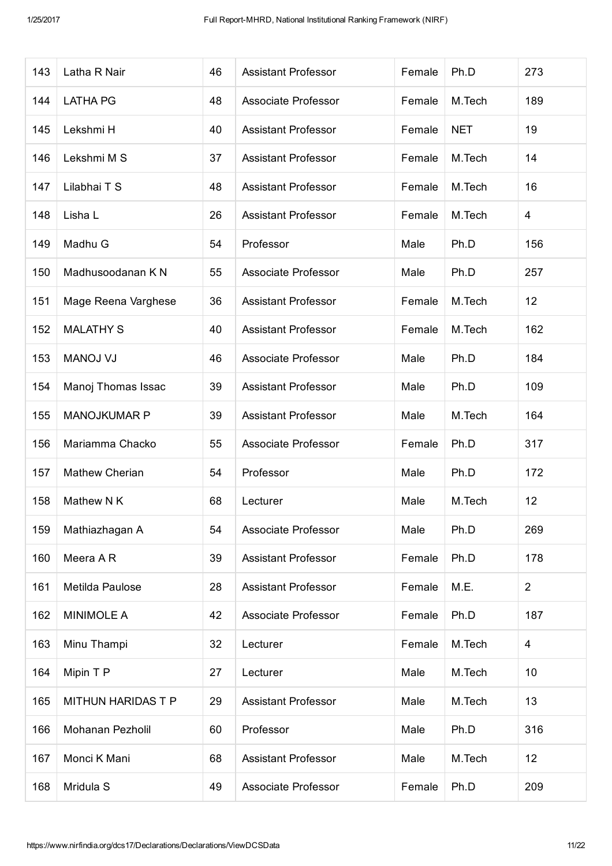| 143 | Latha R Nair          | 46 | <b>Assistant Professor</b> | Female | Ph.D       | 273 |
|-----|-----------------------|----|----------------------------|--------|------------|-----|
| 144 | <b>LATHA PG</b>       | 48 | <b>Associate Professor</b> | Female | M.Tech     | 189 |
| 145 | Lekshmi H             | 40 | <b>Assistant Professor</b> | Female | <b>NET</b> | 19  |
| 146 | Lekshmi M S           | 37 | <b>Assistant Professor</b> | Female | M.Tech     | 14  |
| 147 | Lilabhai T S          | 48 | <b>Assistant Professor</b> | Female | M.Tech     | 16  |
| 148 | Lisha L               | 26 | <b>Assistant Professor</b> | Female | M.Tech     | 4   |
| 149 | Madhu G               | 54 | Professor                  | Male   | Ph.D       | 156 |
| 150 | Madhusoodanan K N     | 55 | <b>Associate Professor</b> | Male   | Ph.D       | 257 |
| 151 | Mage Reena Varghese   | 36 | <b>Assistant Professor</b> | Female | M.Tech     | 12  |
| 152 | <b>MALATHY S</b>      | 40 | <b>Assistant Professor</b> | Female | M.Tech     | 162 |
| 153 | <b>MANOJ VJ</b>       | 46 | <b>Associate Professor</b> | Male   | Ph.D       | 184 |
| 154 | Manoj Thomas Issac    | 39 | <b>Assistant Professor</b> | Male   | Ph.D       | 109 |
| 155 | MANOJKUMAR P          | 39 | <b>Assistant Professor</b> | Male   | M.Tech     | 164 |
| 156 | Mariamma Chacko       | 55 | Associate Professor        | Female | Ph.D       | 317 |
| 157 | <b>Mathew Cherian</b> | 54 | Professor                  | Male   | Ph.D       | 172 |
| 158 | Mathew N K            | 68 | Lecturer                   | Male   | M.Tech     | 12  |
| 159 | Mathiazhagan A        | 54 | Associate Professor        | Male   | Ph.D       | 269 |
| 160 | Meera AR              | 39 | <b>Assistant Professor</b> | Female | Ph.D       | 178 |
| 161 | Metilda Paulose       | 28 | <b>Assistant Professor</b> | Female | M.E.       | 2   |
| 162 | <b>MINIMOLE A</b>     | 42 | Associate Professor        | Female | Ph.D       | 187 |
| 163 | Minu Thampi           | 32 | Lecturer                   | Female | M.Tech     | 4   |
| 164 | Mipin T P             | 27 | Lecturer                   | Male   | M.Tech     | 10  |
| 165 | MITHUN HARIDAS T P    | 29 | <b>Assistant Professor</b> | Male   | M.Tech     | 13  |
| 166 | Mohanan Pezholil      | 60 | Professor                  | Male   | Ph.D       | 316 |
| 167 | Monci K Mani          | 68 | <b>Assistant Professor</b> | Male   | M.Tech     | 12  |
| 168 | Mridula S             | 49 | Associate Professor        | Female | Ph.D       | 209 |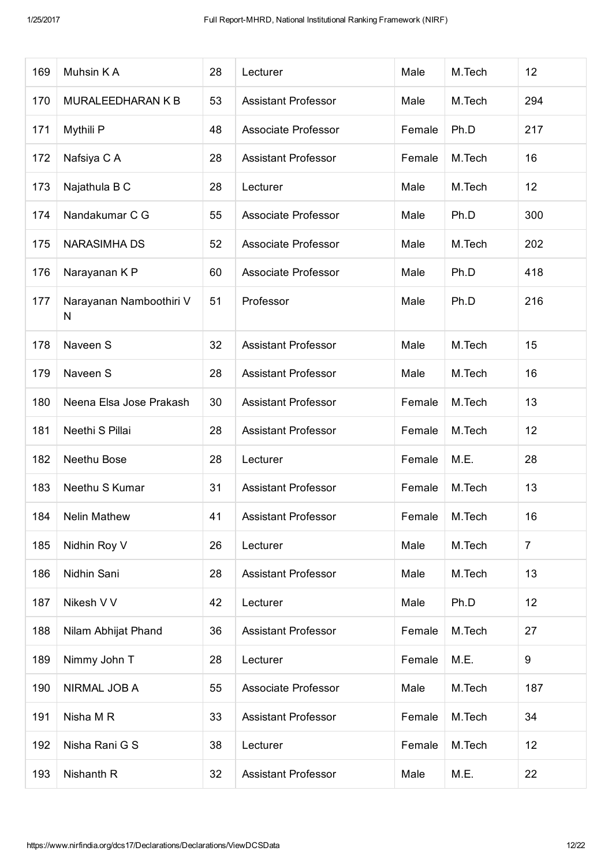| 169 | Muhsin KA                    | 28 | Lecturer                   | Male   | M.Tech | 12              |
|-----|------------------------------|----|----------------------------|--------|--------|-----------------|
| 170 | MURALEEDHARAN K B            | 53 | <b>Assistant Professor</b> | Male   | M.Tech | 294             |
| 171 | Mythili P                    | 48 | <b>Associate Professor</b> | Female | Ph.D   | 217             |
| 172 | Nafsiya C A                  | 28 | <b>Assistant Professor</b> | Female | M.Tech | 16              |
| 173 | Najathula B C                | 28 | Lecturer                   | Male   | M.Tech | 12              |
| 174 | Nandakumar C G               | 55 | Associate Professor        | Male   | Ph.D   | 300             |
| 175 | <b>NARASIMHA DS</b>          | 52 | <b>Associate Professor</b> | Male   | M.Tech | 202             |
| 176 | Narayanan K P                | 60 | Associate Professor        | Male   | Ph.D   | 418             |
| 177 | Narayanan Namboothiri V<br>N | 51 | Professor                  | Male   | Ph.D   | 216             |
| 178 | Naveen S                     | 32 | <b>Assistant Professor</b> | Male   | M.Tech | 15              |
| 179 | Naveen S                     | 28 | <b>Assistant Professor</b> | Male   | M.Tech | 16              |
| 180 | Neena Elsa Jose Prakash      | 30 | <b>Assistant Professor</b> | Female | M.Tech | 13              |
| 181 | Neethi S Pillai              | 28 | <b>Assistant Professor</b> | Female | M.Tech | 12              |
| 182 | Neethu Bose                  | 28 | Lecturer                   | Female | M.E.   | 28              |
| 183 | Neethu S Kumar               | 31 | <b>Assistant Professor</b> | Female | M.Tech | 13              |
| 184 | Nelin Mathew                 | 41 | <b>Assistant Professor</b> | Female | M.Tech | 16              |
| 185 | Nidhin Roy V                 | 26 | Lecturer                   | Male   | M.Tech | $\overline{7}$  |
| 186 | Nidhin Sani                  | 28 | <b>Assistant Professor</b> | Male   | M.Tech | 13              |
| 187 | Nikesh V V                   | 42 | Lecturer                   | Male   | Ph.D   | 12 <sub>2</sub> |
| 188 | Nilam Abhijat Phand          | 36 | <b>Assistant Professor</b> | Female | M.Tech | 27              |
| 189 | Nimmy John T                 | 28 | Lecturer                   | Female | M.E.   | 9               |
| 190 | NIRMAL JOB A                 | 55 | Associate Professor        | Male   | M.Tech | 187             |
| 191 | Nisha M R                    | 33 | <b>Assistant Professor</b> | Female | M.Tech | 34              |
| 192 | Nisha Rani G S               | 38 | Lecturer                   | Female | M.Tech | 12              |
| 193 | Nishanth R                   | 32 | <b>Assistant Professor</b> | Male   | M.E.   | 22              |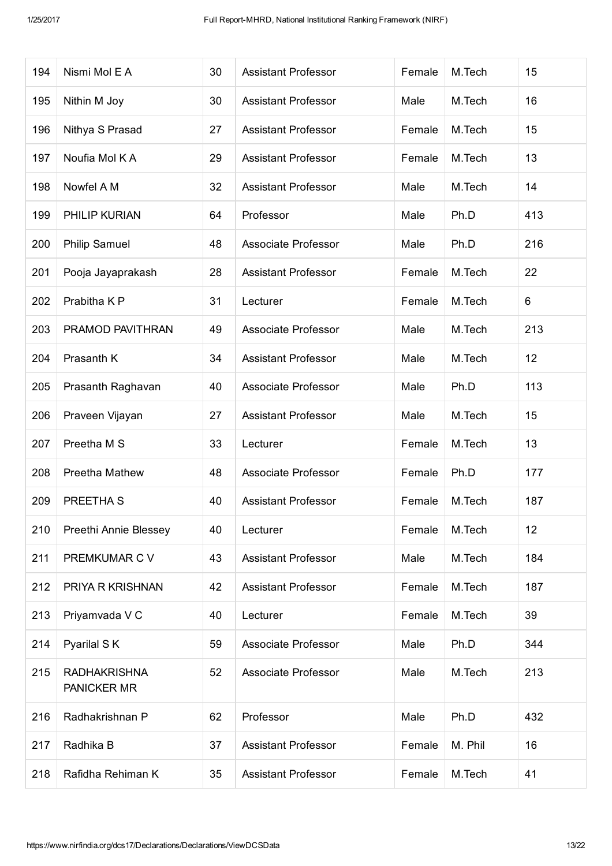| 194 | Nismi Mol E A                      | 30 | <b>Assistant Professor</b> | Female | M.Tech  | 15  |
|-----|------------------------------------|----|----------------------------|--------|---------|-----|
| 195 | Nithin M Joy                       | 30 | <b>Assistant Professor</b> | Male   | M.Tech  | 16  |
| 196 | Nithya S Prasad                    | 27 | <b>Assistant Professor</b> | Female | M.Tech  | 15  |
| 197 | Noufia Mol K A                     | 29 | <b>Assistant Professor</b> | Female | M.Tech  | 13  |
| 198 | Nowfel A M                         | 32 | <b>Assistant Professor</b> | Male   | M.Tech  | 14  |
| 199 | PHILIP KURIAN                      | 64 | Professor                  | Male   | Ph.D    | 413 |
| 200 | <b>Philip Samuel</b>               | 48 | Associate Professor        | Male   | Ph.D    | 216 |
| 201 | Pooja Jayaprakash                  | 28 | <b>Assistant Professor</b> | Female | M.Tech  | 22  |
| 202 | Prabitha K P                       | 31 | Lecturer                   | Female | M.Tech  | 6   |
| 203 | PRAMOD PAVITHRAN                   | 49 | <b>Associate Professor</b> | Male   | M.Tech  | 213 |
| 204 | Prasanth K                         | 34 | <b>Assistant Professor</b> | Male   | M.Tech  | 12  |
| 205 | Prasanth Raghavan                  | 40 | Associate Professor        | Male   | Ph.D    | 113 |
| 206 | Praveen Vijayan                    | 27 | <b>Assistant Professor</b> | Male   | M.Tech  | 15  |
| 207 | Preetha M S                        | 33 | Lecturer                   | Female | M.Tech  | 13  |
| 208 | Preetha Mathew                     | 48 | Associate Professor        | Female | Ph.D    | 177 |
| 209 | PREETHA S                          | 40 | <b>Assistant Professor</b> | Female | M.Tech  | 187 |
| 210 | Preethi Annie Blessey              | 40 | Lecturer                   | Female | M.Tech  | 12  |
| 211 | PREMKUMAR C V                      | 43 | <b>Assistant Professor</b> | Male   | M.Tech  | 184 |
| 212 | PRIYA R KRISHNAN                   | 42 | <b>Assistant Professor</b> | Female | M.Tech  | 187 |
| 213 | Priyamvada V C                     | 40 | Lecturer                   | Female | M.Tech  | 39  |
| 214 | Pyarilal SK                        | 59 | <b>Associate Professor</b> | Male   | Ph.D    | 344 |
| 215 | <b>RADHAKRISHNA</b><br>PANICKER MR | 52 | Associate Professor        | Male   | M.Tech  | 213 |
| 216 | Radhakrishnan P                    | 62 | Professor                  | Male   | Ph.D    | 432 |
| 217 | Radhika B                          | 37 | <b>Assistant Professor</b> | Female | M. Phil | 16  |
| 218 | Rafidha Rehiman K                  | 35 | <b>Assistant Professor</b> | Female | M.Tech  | 41  |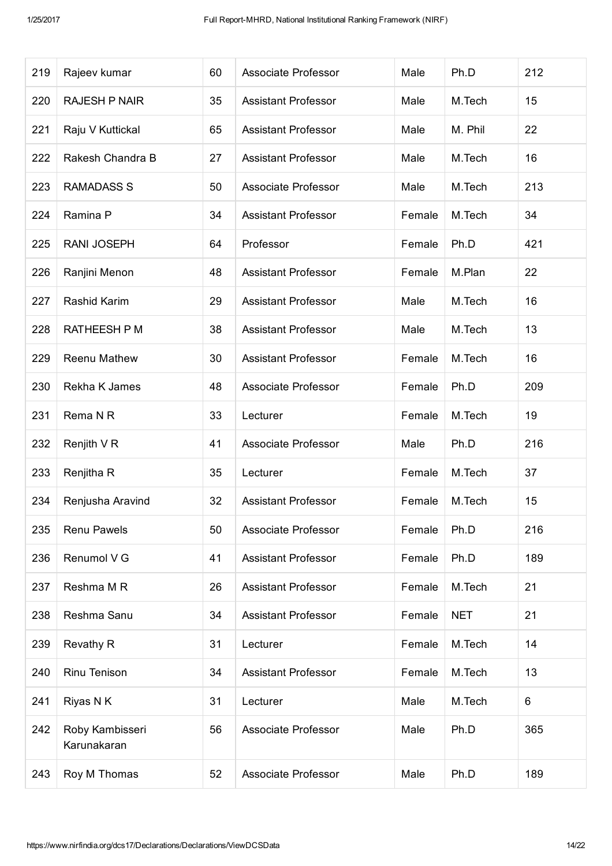| 219 | Rajeev kumar                   | 60 | Associate Professor        | Male   | Ph.D       | 212 |
|-----|--------------------------------|----|----------------------------|--------|------------|-----|
| 220 | <b>RAJESH P NAIR</b>           | 35 | <b>Assistant Professor</b> | Male   | M.Tech     | 15  |
| 221 | Raju V Kuttickal               | 65 | <b>Assistant Professor</b> | Male   | M. Phil    | 22  |
| 222 | Rakesh Chandra B               | 27 | <b>Assistant Professor</b> | Male   | M.Tech     | 16  |
| 223 | <b>RAMADASS S</b>              | 50 | Associate Professor        | Male   | M.Tech     | 213 |
| 224 | Ramina P                       | 34 | <b>Assistant Professor</b> | Female | M.Tech     | 34  |
| 225 | <b>RANI JOSEPH</b>             | 64 | Professor                  | Female | Ph.D       | 421 |
| 226 | Ranjini Menon                  | 48 | <b>Assistant Professor</b> | Female | M.Plan     | 22  |
| 227 | Rashid Karim                   | 29 | Assistant Professor        | Male   | M.Tech     | 16  |
| 228 | <b>RATHEESH P M</b>            | 38 | <b>Assistant Professor</b> | Male   | M.Tech     | 13  |
| 229 | Reenu Mathew                   | 30 | <b>Assistant Professor</b> | Female | M.Tech     | 16  |
| 230 | Rekha K James                  | 48 | <b>Associate Professor</b> | Female | Ph.D       | 209 |
| 231 | Rema N R                       | 33 | Lecturer                   | Female | M.Tech     | 19  |
| 232 | Renjith V R                    | 41 | Associate Professor        | Male   | Ph.D       | 216 |
| 233 | Renjitha R                     | 35 | Lecturer                   | Female | M.Tech     | 37  |
| 234 | Renjusha Aravind               | 32 | <b>Assistant Professor</b> | Female | M.Tech     | 15  |
| 235 | Renu Pawels                    | 50 | Associate Professor        | Female | Ph.D       | 216 |
| 236 | Renumol V G                    | 41 | <b>Assistant Professor</b> | Female | Ph.D       | 189 |
| 237 | Reshma M R                     | 26 | <b>Assistant Professor</b> | Female | M.Tech     | 21  |
| 238 | Reshma Sanu                    | 34 | <b>Assistant Professor</b> | Female | <b>NET</b> | 21  |
| 239 | Revathy R                      | 31 | Lecturer                   | Female | M.Tech     | 14  |
| 240 | Rinu Tenison                   | 34 | <b>Assistant Professor</b> | Female | M.Tech     | 13  |
| 241 | Riyas N K                      | 31 | Lecturer                   | Male   | M.Tech     | 6   |
| 242 | Roby Kambisseri<br>Karunakaran | 56 | Associate Professor        | Male   | Ph.D       | 365 |
| 243 | Roy M Thomas                   | 52 | Associate Professor        | Male   | Ph.D       | 189 |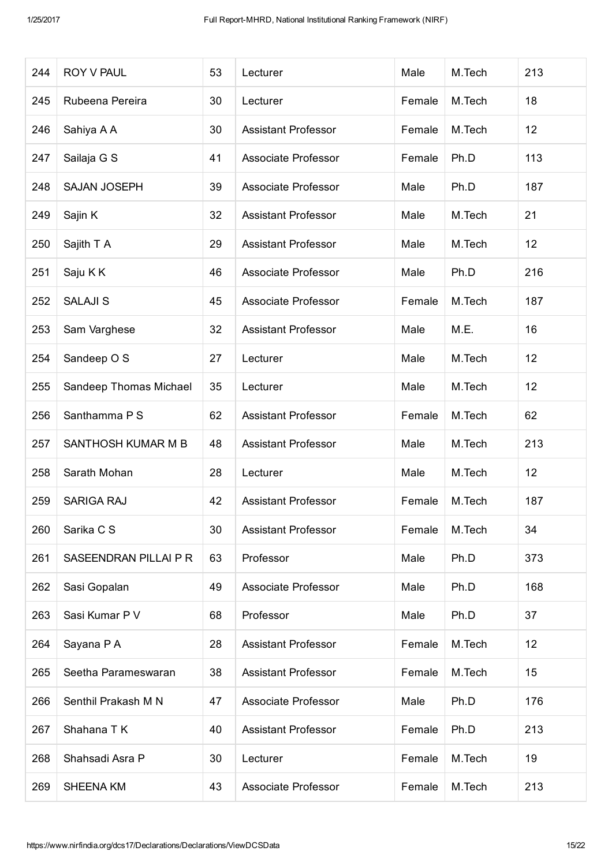| 244 | <b>ROY V PAUL</b>      | 53 | Lecturer                   | Male   | M.Tech | 213 |
|-----|------------------------|----|----------------------------|--------|--------|-----|
| 245 | Rubeena Pereira        | 30 | Lecturer                   | Female | M.Tech | 18  |
| 246 | Sahiya A A             | 30 | <b>Assistant Professor</b> | Female | M.Tech | 12  |
| 247 | Sailaja G S            | 41 | Associate Professor        | Female | Ph.D   | 113 |
| 248 | <b>SAJAN JOSEPH</b>    | 39 | Associate Professor        | Male   | Ph.D   | 187 |
| 249 | Sajin K                | 32 | <b>Assistant Professor</b> | Male   | M.Tech | 21  |
| 250 | Sajith T A             | 29 | <b>Assistant Professor</b> | Male   | M.Tech | 12  |
| 251 | Saju K K               | 46 | Associate Professor        | Male   | Ph.D   | 216 |
| 252 | <b>SALAJI S</b>        | 45 | Associate Professor        | Female | M.Tech | 187 |
| 253 | Sam Varghese           | 32 | <b>Assistant Professor</b> | Male   | M.E.   | 16  |
| 254 | Sandeep O S            | 27 | Lecturer                   | Male   | M.Tech | 12  |
| 255 | Sandeep Thomas Michael | 35 | Lecturer                   | Male   | M.Tech | 12  |
| 256 | Santhamma P S          | 62 | <b>Assistant Professor</b> | Female | M.Tech | 62  |
| 257 | SANTHOSH KUMAR M B     | 48 | <b>Assistant Professor</b> | Male   | M.Tech | 213 |
| 258 | Sarath Mohan           | 28 | Lecturer                   | Male   | M.Tech | 12  |
| 259 | <b>SARIGA RAJ</b>      | 42 | <b>Assistant Professor</b> | Female | M.Tech | 187 |
| 260 | Sarika C S             | 30 | <b>Assistant Professor</b> | Female | M.Tech | 34  |
| 261 | SASEENDRAN PILLAI P R  | 63 | Professor                  | Male   | Ph.D   | 373 |
| 262 | Sasi Gopalan           | 49 | Associate Professor        | Male   | Ph.D   | 168 |
| 263 | Sasi Kumar P V         | 68 | Professor                  | Male   | Ph.D   | 37  |
| 264 | Sayana P A             | 28 | <b>Assistant Professor</b> | Female | M.Tech | 12  |
| 265 | Seetha Parameswaran    | 38 | <b>Assistant Professor</b> | Female | M.Tech | 15  |
| 266 | Senthil Prakash M N    | 47 | Associate Professor        | Male   | Ph.D   | 176 |
| 267 | Shahana T K            | 40 | <b>Assistant Professor</b> | Female | Ph.D   | 213 |
| 268 | Shahsadi Asra P        | 30 | Lecturer                   | Female | M.Tech | 19  |
| 269 | <b>SHEENA KM</b>       | 43 | Associate Professor        | Female | M.Tech | 213 |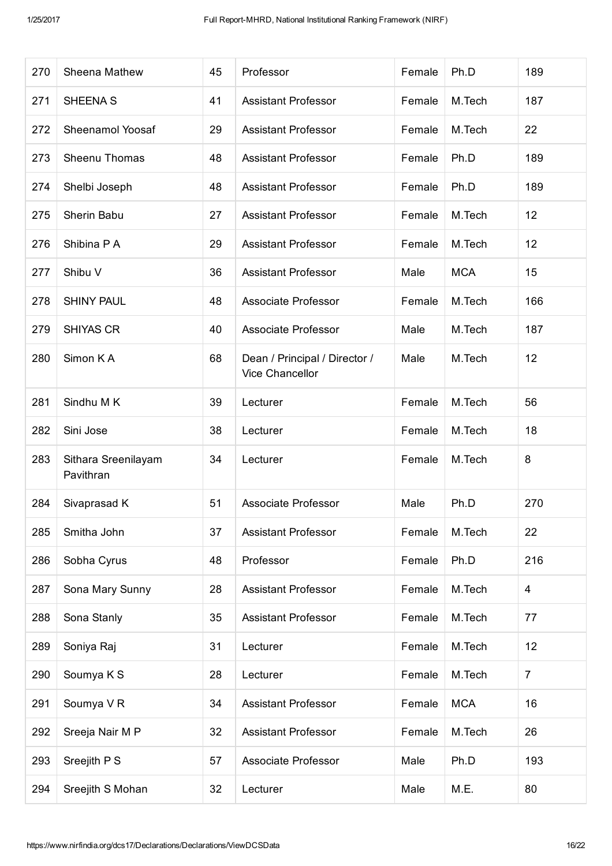| 270 | Sheena Mathew                    | 45 | Professor                                        | Female | Ph.D       | 189            |
|-----|----------------------------------|----|--------------------------------------------------|--------|------------|----------------|
| 271 | <b>SHEENA S</b>                  | 41 | <b>Assistant Professor</b>                       | Female | M.Tech     | 187            |
| 272 | Sheenamol Yoosaf                 | 29 | <b>Assistant Professor</b>                       | Female | M.Tech     | 22             |
| 273 | Sheenu Thomas                    | 48 | <b>Assistant Professor</b>                       | Female | Ph.D       | 189            |
| 274 | Shelbi Joseph                    | 48 | <b>Assistant Professor</b>                       | Female | Ph.D       | 189            |
| 275 | Sherin Babu                      | 27 | <b>Assistant Professor</b>                       | Female | M.Tech     | 12             |
| 276 | Shibina P A                      | 29 | <b>Assistant Professor</b>                       | Female | M.Tech     | 12             |
| 277 | Shibu V                          | 36 | <b>Assistant Professor</b>                       | Male   | <b>MCA</b> | 15             |
| 278 | <b>SHINY PAUL</b>                | 48 | <b>Associate Professor</b>                       | Female | M.Tech     | 166            |
| 279 | <b>SHIYAS CR</b>                 | 40 | <b>Associate Professor</b>                       | Male   | M.Tech     | 187            |
| 280 | Simon KA                         | 68 | Dean / Principal / Director /<br>Vice Chancellor | Male   | M.Tech     | 12             |
| 281 | Sindhu M K                       | 39 | Lecturer                                         | Female | M.Tech     | 56             |
| 282 | Sini Jose                        | 38 | Lecturer                                         | Female | M.Tech     | 18             |
| 283 | Sithara Sreenilayam<br>Pavithran | 34 | Lecturer                                         | Female | M.Tech     | 8              |
| 284 | Sivaprasad K                     | 51 | Associate Professor                              | Male   | Ph.D       | 270            |
| 285 | Smitha John                      | 37 | <b>Assistant Professor</b>                       | Female | M.Tech     | 22             |
| 286 | Sobha Cyrus                      | 48 | Professor                                        | Female | Ph.D       | 216            |
| 287 | Sona Mary Sunny                  | 28 | <b>Assistant Professor</b>                       | Female | M.Tech     | $\overline{4}$ |
| 288 | Sona Stanly                      | 35 | <b>Assistant Professor</b>                       | Female | M.Tech     | 77             |
| 289 | Soniya Raj                       | 31 | Lecturer                                         | Female | M.Tech     | 12             |
| 290 | Soumya K S                       | 28 | Lecturer                                         | Female | M.Tech     | $\overline{7}$ |
| 291 | Soumya VR                        | 34 | <b>Assistant Professor</b>                       | Female | <b>MCA</b> | 16             |
| 292 | Sreeja Nair M P                  | 32 | <b>Assistant Professor</b>                       | Female | M.Tech     | 26             |
| 293 | Sreejith P S                     | 57 | Associate Professor                              | Male   | Ph.D       | 193            |
| 294 | Sreejith S Mohan                 | 32 | Lecturer                                         | Male   | M.E.       | 80             |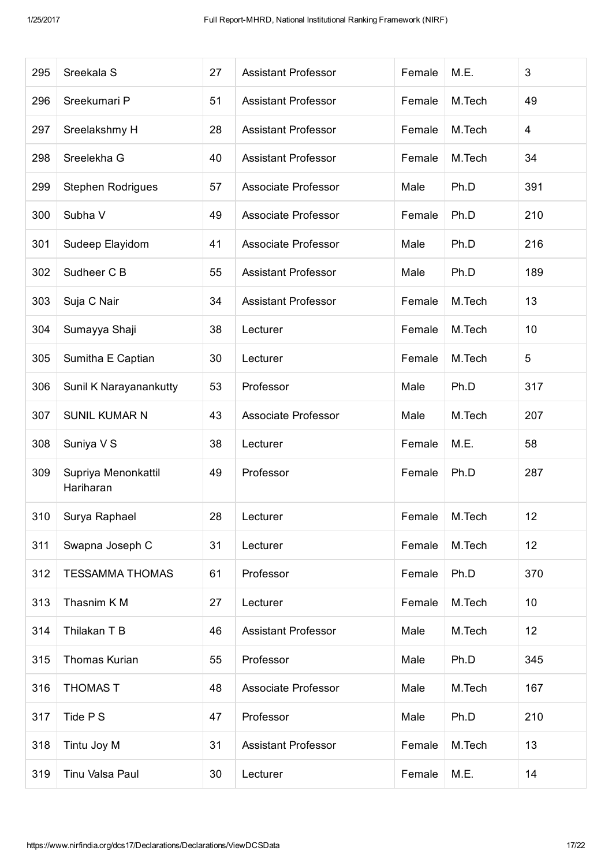| 295 | Sreekala S                       | 27 | <b>Assistant Professor</b> | Female | M.E.   | 3   |
|-----|----------------------------------|----|----------------------------|--------|--------|-----|
| 296 | Sreekumari P                     | 51 | <b>Assistant Professor</b> | Female | M.Tech | 49  |
| 297 | Sreelakshmy H                    | 28 | <b>Assistant Professor</b> | Female | M.Tech | 4   |
| 298 | Sreelekha G                      | 40 | <b>Assistant Professor</b> | Female | M.Tech | 34  |
| 299 | Stephen Rodrigues                | 57 | Associate Professor        | Male   | Ph.D   | 391 |
| 300 | Subha V                          | 49 | Associate Professor        | Female | Ph.D   | 210 |
| 301 | Sudeep Elayidom                  | 41 | <b>Associate Professor</b> | Male   | Ph.D   | 216 |
| 302 | Sudheer C B                      | 55 | <b>Assistant Professor</b> | Male   | Ph.D   | 189 |
| 303 | Suja C Nair                      | 34 | <b>Assistant Professor</b> | Female | M.Tech | 13  |
| 304 | Sumayya Shaji                    | 38 | Lecturer                   | Female | M.Tech | 10  |
| 305 | Sumitha E Captian                | 30 | Lecturer                   | Female | M.Tech | 5   |
| 306 | Sunil K Narayanankutty           | 53 | Professor                  | Male   | Ph.D   | 317 |
| 307 | <b>SUNIL KUMAR N</b>             | 43 | <b>Associate Professor</b> | Male   | M.Tech | 207 |
| 308 | Suniya V S                       | 38 | Lecturer                   | Female | M.E.   | 58  |
| 309 | Supriya Menonkattil<br>Hariharan | 49 | Professor                  | Female | Ph.D   | 287 |
| 310 | Surya Raphael                    | 28 | Lecturer                   | Female | M.Tech | 12  |
| 311 | Swapna Joseph C                  | 31 | Lecturer                   | Female | M.Tech | 12  |
| 312 | <b>TESSAMMA THOMAS</b>           | 61 | Professor                  | Female | Ph.D   | 370 |
| 313 | Thasnim KM                       | 27 | Lecturer                   | Female | M.Tech | 10  |
| 314 | Thilakan T B                     | 46 | <b>Assistant Professor</b> | Male   | M.Tech | 12  |
| 315 | Thomas Kurian                    | 55 | Professor                  | Male   | Ph.D   | 345 |
| 316 | <b>THOMAS T</b>                  | 48 | Associate Professor        | Male   | M.Tech | 167 |
| 317 | Tide P S                         | 47 | Professor                  | Male   | Ph.D   | 210 |
| 318 | Tintu Joy M                      | 31 | <b>Assistant Professor</b> | Female | M.Tech | 13  |
| 319 | Tinu Valsa Paul                  | 30 | Lecturer                   | Female | M.E.   | 14  |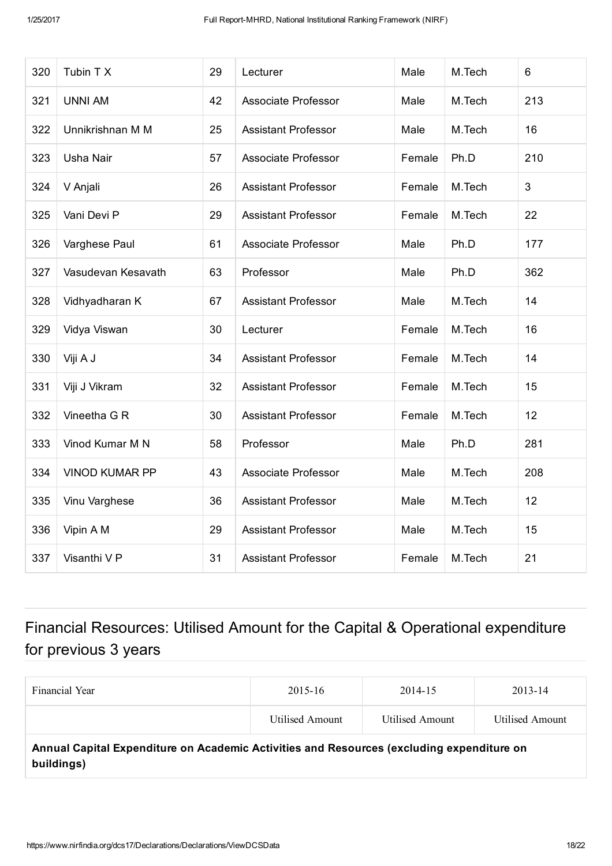| 320 | Tubin T X             | 29 | Lecturer                   | Male   | M.Tech | 6   |
|-----|-----------------------|----|----------------------------|--------|--------|-----|
| 321 | <b>UNNI AM</b>        | 42 | <b>Associate Professor</b> | Male   | M.Tech | 213 |
| 322 | Unnikrishnan M M      | 25 | <b>Assistant Professor</b> | Male   | M.Tech | 16  |
| 323 | <b>Usha Nair</b>      | 57 | <b>Associate Professor</b> | Female | Ph.D   | 210 |
| 324 | V Anjali              | 26 | <b>Assistant Professor</b> | Female | M.Tech | 3   |
| 325 | Vani Devi P           | 29 | <b>Assistant Professor</b> | Female | M.Tech | 22  |
| 326 | Varghese Paul         | 61 | <b>Associate Professor</b> | Male   | Ph.D   | 177 |
| 327 | Vasudevan Kesavath    | 63 | Professor                  | Male   | Ph.D   | 362 |
| 328 | Vidhyadharan K        | 67 | <b>Assistant Professor</b> | Male   | M.Tech | 14  |
| 329 | Vidya Viswan          | 30 | Lecturer                   | Female | M.Tech | 16  |
| 330 | Viji A J              | 34 | <b>Assistant Professor</b> | Female | M.Tech | 14  |
| 331 | Viji J Vikram         | 32 | <b>Assistant Professor</b> | Female | M.Tech | 15  |
| 332 | Vineetha G R          | 30 | <b>Assistant Professor</b> | Female | M.Tech | 12  |
| 333 | Vinod Kumar M N       | 58 | Professor                  | Male   | Ph.D   | 281 |
| 334 | <b>VINOD KUMAR PP</b> | 43 | <b>Associate Professor</b> | Male   | M.Tech | 208 |
| 335 | Vinu Varghese         | 36 | <b>Assistant Professor</b> | Male   | M.Tech | 12  |
| 336 | Vipin A M             | 29 | <b>Assistant Professor</b> | Male   | M.Tech | 15  |
| 337 | Visanthi V P          | 31 | <b>Assistant Professor</b> | Female | M.Tech | 21  |

## Financial Resources: Utilised Amount for the Capital & Operational expenditure for previous 3 years

| Financial Year                                                                                          | 2015-16         | 2014-15         | 2013-14         |  |  |
|---------------------------------------------------------------------------------------------------------|-----------------|-----------------|-----------------|--|--|
|                                                                                                         | Utilised Amount | Utilised Amount | Utilised Amount |  |  |
| Annual Capital Expenditure on Academic Activities and Resources (excluding expenditure on<br>buildings) |                 |                 |                 |  |  |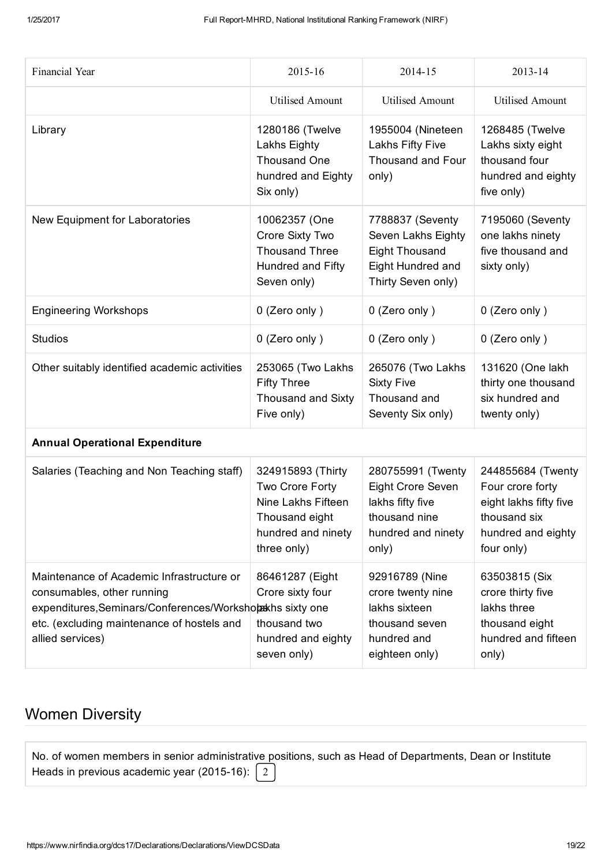| Financial Year                                                                                                                                                                                          | 2015-16                                                                                                           | 2014-15                                                                                                    | 2013-14                                                                                                             |
|---------------------------------------------------------------------------------------------------------------------------------------------------------------------------------------------------------|-------------------------------------------------------------------------------------------------------------------|------------------------------------------------------------------------------------------------------------|---------------------------------------------------------------------------------------------------------------------|
|                                                                                                                                                                                                         | <b>Utilised Amount</b>                                                                                            | <b>Utilised Amount</b>                                                                                     | <b>Utilised Amount</b>                                                                                              |
| Library                                                                                                                                                                                                 | 1280186 (Twelve<br>Lakhs Eighty<br>Thousand One<br>hundred and Eighty<br>Six only)                                | 1955004 (Nineteen<br>Lakhs Fifty Five<br>Thousand and Four<br>only)                                        | 1268485 (Twelve<br>Lakhs sixty eight<br>thousand four<br>hundred and eighty<br>five only)                           |
| New Equipment for Laboratories                                                                                                                                                                          | 10062357 (One<br>Crore Sixty Two<br><b>Thousand Three</b><br>Hundred and Fifty<br>Seven only)                     | 7788837 (Seventy<br>Seven Lakhs Eighty<br><b>Eight Thousand</b><br>Eight Hundred and<br>Thirty Seven only) | 7195060 (Seventy<br>one lakhs ninety<br>five thousand and<br>sixty only)                                            |
| <b>Engineering Workshops</b>                                                                                                                                                                            | 0 (Zero only)                                                                                                     | 0 (Zero only)                                                                                              | 0 (Zero only)                                                                                                       |
| <b>Studios</b>                                                                                                                                                                                          | 0 (Zero only)                                                                                                     | 0 (Zero only)                                                                                              | 0 (Zero only)                                                                                                       |
| Other suitably identified academic activities                                                                                                                                                           | 253065 (Two Lakhs<br><b>Fifty Three</b><br>Thousand and Sixty<br>Five only)                                       | 265076 (Two Lakhs<br><b>Sixty Five</b><br>Thousand and<br>Seventy Six only)                                | 131620 (One lakh<br>thirty one thousand<br>six hundred and<br>twenty only)                                          |
| <b>Annual Operational Expenditure</b>                                                                                                                                                                   |                                                                                                                   |                                                                                                            |                                                                                                                     |
| Salaries (Teaching and Non Teaching staff)                                                                                                                                                              | 324915893 (Thirty<br>Two Crore Forty<br>Nine Lakhs Fifteen<br>Thousand eight<br>hundred and ninety<br>three only) | 280755991 (Twenty<br>Eight Crore Seven<br>lakhs fifty five<br>thousand nine<br>hundred and ninety<br>only) | 244855684 (Twenty<br>Four crore forty<br>eight lakhs fifty five<br>thousand six<br>hundred and eighty<br>four only) |
| Maintenance of Academic Infrastructure or<br>consumables, other running<br>expenditures, Seminars/Conferences/Worksholaskhs sixty one<br>etc. (excluding maintenance of hostels and<br>allied services) | 86461287 (Eight<br>Crore sixty four<br>thousand two<br>hundred and eighty<br>seven only)                          | 92916789 (Nine<br>crore twenty nine<br>lakhs sixteen<br>thousand seven<br>hundred and<br>eighteen only)    | 63503815 (Six<br>crore thirty five<br>lakhs three<br>thousand eight<br>hundred and fifteen<br>only)                 |

### Women Diversity

| No. of women members in senior administrative positions, such as Head of Departments, Dean or Institute |  |  |
|---------------------------------------------------------------------------------------------------------|--|--|
| Heads in previous academic year (2015-16): $\begin{bmatrix} 2 \end{bmatrix}$                            |  |  |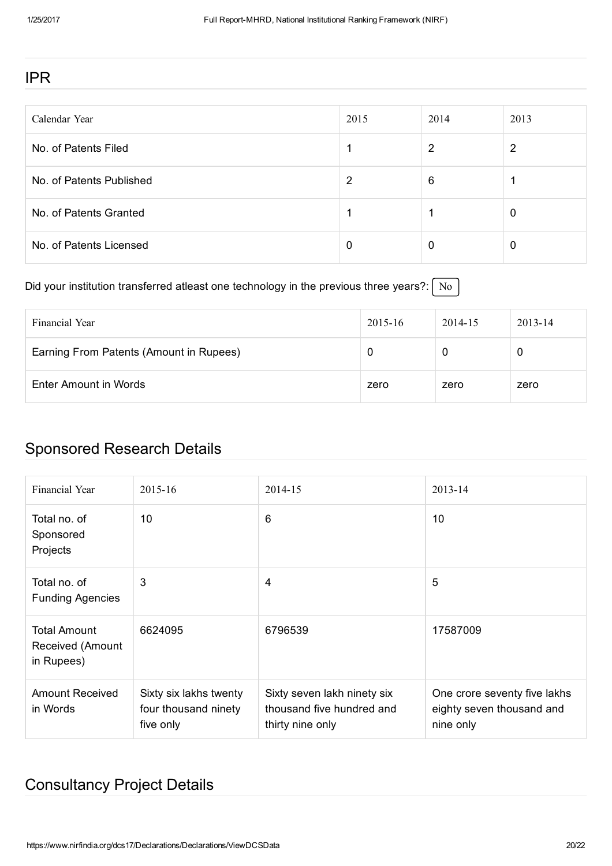#### IPR

| Calendar Year            | 2015 | 2014 | 2013 |
|--------------------------|------|------|------|
| No. of Patents Filed     |      | 2    | 2    |
| No. of Patents Published | 2    | 6    |      |
| No. of Patents Granted   |      |      | O    |
| No. of Patents Licensed  | 0    | 0    | 0    |

Did your institution transferred atleast one technology in the previous three years?:  $\sqrt{\frac{N_o}{N_o}}$ 

| Financial Year                          | 2015-16 | 2014-15 | $2013 - 14$ |
|-----------------------------------------|---------|---------|-------------|
| Earning From Patents (Amount in Rupees) |         |         |             |
| Enter Amount in Words                   | zero    | zero    | zero        |

#### Sponsored Research Details

| Financial Year                                        | $2015 - 16$                                                 | 2014-15                                                                      | 2013-14                                                                |
|-------------------------------------------------------|-------------------------------------------------------------|------------------------------------------------------------------------------|------------------------------------------------------------------------|
| Total no, of<br>Sponsored<br>Projects                 | 10                                                          | 6                                                                            | 10                                                                     |
| Total no, of<br><b>Funding Agencies</b>               | 3                                                           | $\overline{4}$                                                               | 5                                                                      |
| <b>Total Amount</b><br>Received (Amount<br>in Rupees) | 6624095                                                     | 6796539                                                                      | 17587009                                                               |
| <b>Amount Received</b><br>in Words                    | Sixty six lakhs twenty<br>four thousand ninety<br>five only | Sixty seven lakh ninety six<br>thousand five hundred and<br>thirty nine only | One crore seventy five lakhs<br>eighty seven thousand and<br>nine only |

### Consultancy Project Details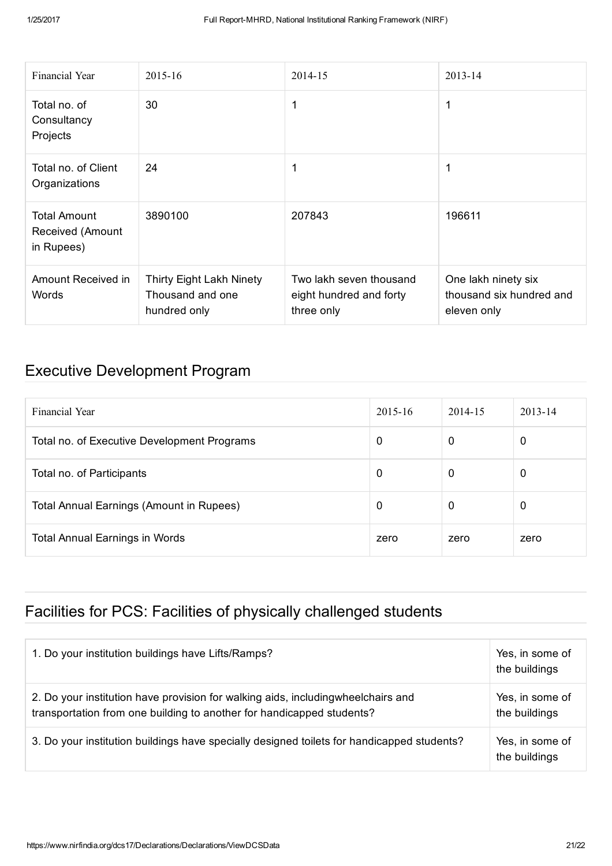| Financial Year                                        | 2015-16                                                             | 2014-15                                                          | 2013-14                                                        |
|-------------------------------------------------------|---------------------------------------------------------------------|------------------------------------------------------------------|----------------------------------------------------------------|
| Total no, of<br>Consultancy<br>Projects               | 30                                                                  | 1                                                                | 1                                                              |
| Total no. of Client<br>Organizations                  | 24                                                                  | 1                                                                | 1                                                              |
| <b>Total Amount</b><br>Received (Amount<br>in Rupees) | 3890100                                                             | 207843                                                           | 196611                                                         |
| Amount Received in<br>Words                           | <b>Thirty Eight Lakh Ninety</b><br>Thousand and one<br>hundred only | Two lakh seven thousand<br>eight hundred and forty<br>three only | One lakh ninety six<br>thousand six hundred and<br>eleven only |

#### Executive Development Program

| Financial Year                                  | $2015 - 16$ | 2014-15 | $2013 - 14$ |
|-------------------------------------------------|-------------|---------|-------------|
| Total no. of Executive Development Programs     | 0           | 0       | 0           |
| Total no. of Participants                       | 0           | 0       | 0           |
| <b>Total Annual Earnings (Amount in Rupees)</b> | 0           | 0       | 0           |
| <b>Total Annual Earnings in Words</b>           | zero        | zero    | zero        |

## Facilities for PCS: Facilities of physically challenged students

| 1. Do your institution buildings have Lifts/Ramps?                                                                                                         | Yes, in some of<br>the buildings |
|------------------------------------------------------------------------------------------------------------------------------------------------------------|----------------------------------|
| 2. Do your institution have provision for walking aids, including wheelchairs and<br>transportation from one building to another for handicapped students? | Yes, in some of<br>the buildings |
| 3. Do your institution buildings have specially designed toilets for handicapped students?                                                                 | Yes, in some of<br>the buildings |